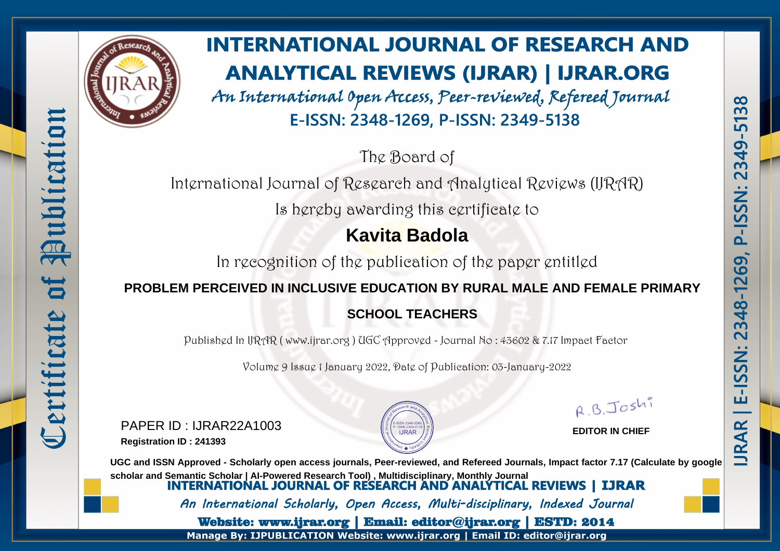

Publication

to

Certificate

# **INTERNATIONAL JOURNAL OF RESEARCH AND ANALYTICAL REVIEWS (IJRAR) | IJRAR.ORG**

An International Open Access, Peer-reviewed, Refereed Journal E-ISSN: 2348-1269, P-ISSN: 2349-5138

The Board of

International Journal of Research and Analytical Reviews (IJRAR)

Is hereby awarding this certificate to

# **Kavita Badola**

In recognition of the publication of the paper entitled

### **PROBLEM PERCEIVED IN INCLUSIVE EDUCATION BY RURAL MALE AND FEMALE PRIMARY**

## **SCHOOL TEACHERS**

Published In IJRAR ( www.ijrar.org ) UGC Approved - Journal No : 43602 & 7.17 Impact Factor

Volume 9 Issue 1 January 2022, Date of Publication: 03-January-2022

PAPER ID : IJRAR22A1003 **Registration ID : 241393**



R.B.Joshi

**EDITOR IN CHIEF**

**UGC and ISSN Approved - Scholarly open access journals, Peer-reviewed, and Refereed Journals, Impact factor 7.17 (Calculate by google** scholar and Semantic Scholar | AI-Powered Research Tool), Multidisciplinary, Monthly Journal<br>**INTERNATIONAL JOURNAL OF RESEARCH AND ANALYTICAL REVIEWS | IJRAR** An International Scholarly, Open Access, Multi-disciplinary, Indexed Journal Website: www.ijrar.org | Email: editor@ijrar.org | ESTD: 2014

Manage By: IJPUBLICATION Website: www.ijrar.org | Email ID: editor@ijrar.org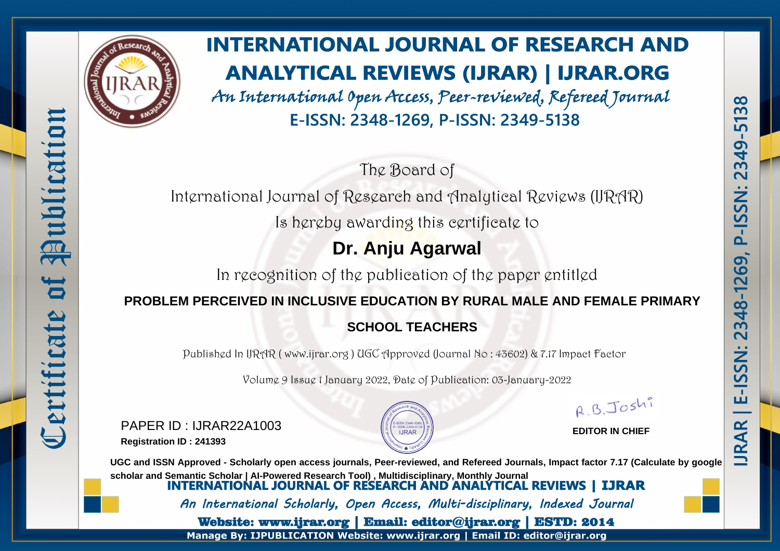

Publication

bf

Certificate

# **INTERNATIONAL JOURNAL OF RESEARCH AND ANALYTICAL REVIEWS (IJRAR) | IJRAR.ORG**

An International Open Access, Peer-reviewed, Refereed Journal E-ISSN: 2348-1269, P-ISSN: 2349-5138

The Board of

International Journal of Research and Analytical Reviews (IJRAR)

Is hereby awarding this certificate to

## **Dr. Anju Agarwal**

In recognition of the publication of the paper entitled

#### **PROBLEM PERCEIVED IN INCLUSIVE EDUCATION BY RURAL MALE AND FEMALE PRIMARY**

## **SCHOOL TEACHERS**

Published In IJRAR ( www.ijrar.org ) UGC Approved (Journal No : 43602) & 7.17 Impact Factor

Volume 9 Issue 1 January 2022, Date of Publication: 03-January-2022

PAPER ID : IJRAR22A1003 **Registration ID : 241393**



R.B.Joshi

**EDITOR IN CHIEF**

**UGC and ISSN Approved - Scholarly open access journals, Peer-reviewed, and Refereed Journals, Impact factor 7.17 (Calculate by google** scholar and Semantic Scholar | AI-Powered Research Tool), Multidisciplinary, Monthly Journal<br>**INTERNATIONAL JOURNAL OF RESEARCH AND ANALYTICAL REVIEWS | IJRAR** An International Scholarly, Open Access, Multi-disciplinary, Indexed Journal Website: www.ijrar.org | Email: editor@ijrar.org | ESTD: 2014

Manage By: IJPUBLICATION Website: www.ijrar.org | Email ID: editor@ijrar.org